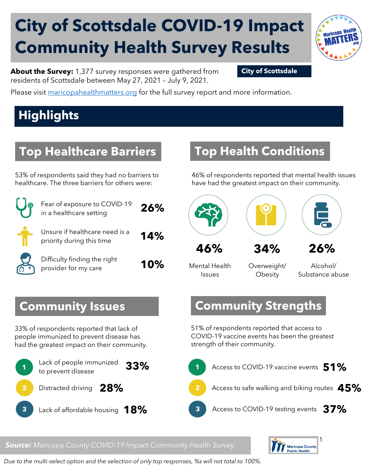# **City of Scottsdale COVID-19 Impact Community Health Survey Results**



**About the Survey:** 1,377 survey responses were gathered from **City of Scottsdale** residents of Scottsdale between May 27, 2021 – July 9, 2021.

Please visit [maricopahealthmatters.org](https://www.maricopa.gov/5100/Health-Data-Maricopa-Health-Matters) for the full survey report and more information.

# **Highlights**

### **Top Healthcare Barriers**

53% of respondents said they had no barriers to healthcare. The three barriers for others were:

|                                                                                                                      | Fear of exposure to COVID-19<br>in a healthcare setting     | 26% |                                               |
|----------------------------------------------------------------------------------------------------------------------|-------------------------------------------------------------|-----|-----------------------------------------------|
|                                                                                                                      | Unsure if healthcare need is a<br>priority during this time | 14% | 46%                                           |
|                                                                                                                      | Difficulty finding the right<br>provider for my care        | 10% | Mental Health<br>Issues                       |
|                                                                                                                      | <b>Immunity Issues</b>                                      |     | Comm                                          |
| of respondents reported that lack of<br>le immunized to prevent disease has<br>e greatest impact on their community. |                                                             |     | 51% of respo<br>COVID-19 va<br>strength of th |
|                                                                                                                      | Lack of people immunized<br>to prevent disease              | 33% | <b>Access</b><br>1                            |
|                                                                                                                      | Distracted driving 28%                                      |     | $\overline{\mathbf{2}}$<br><b>Access</b>      |
|                                                                                                                      | Lack of affordable housing $\sqrt{18\%}$                    |     | 3<br>Acces:                                   |

### **Top Health Conditions**

46% of respondents reported that mental health issues have had the greatest impact on their community.



Overweight/ **Obesity** 

Alcohol/ Substance abuse

### **Community Issues**

33% of respondents reported that lack of people immunized to prevent disease has had the greatest impact on their community.



### **Community Strengths**

51% of respondents reported that access to COVID-19 vaccine events has been the greatest strength of their community.



*Source: Maricopa County COVID-19 Impact Community Health Survey*



*Due to the multi-select option and the selection of only top responses, %s will not total to 100%.*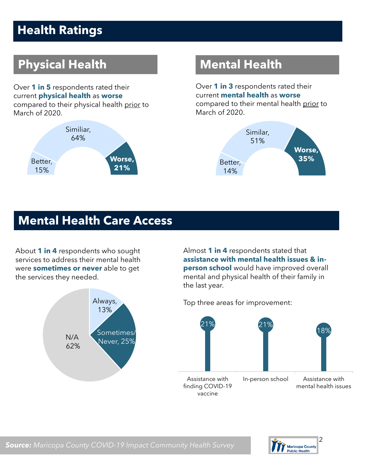# **Health Ratings**

# **Physical Health Mental Health**

Over **1 in 5** respondents rated their current **physical health** as **worse**  compared to their physical health prior to March of 2020.



Over **1 in 3** respondents rated their current **mental health** as **worse** compared to their mental health prior to March of 2020.



### **Mental Health Care Access**

About **1 in 4** respondents who sought services to address their mental health were **sometimes or never** able to get the services they needed.



Almost **1 in 4** respondents stated that **assistance with mental health issues & inperson school** would have improved overall mental and physical health of their family in the last year.

Top three areas for improvement:



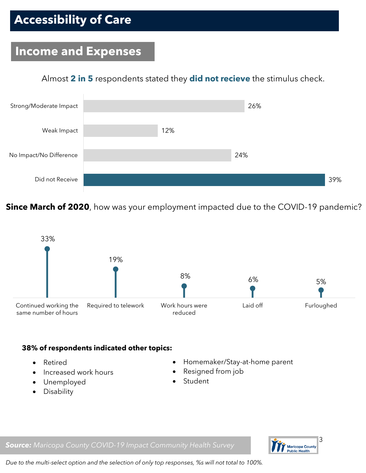# **Accessibility of Care**

### **Income and Expenses**

### Almost **2 in 5** respondents stated they **did not recieve** the stimulus check.



**Since March of 2020**, how was your employment impacted due to the COVID-19 pandemic?



### **38% of respondents indicated other topics:**

- Retired
- Increased work hours
- Unemployed
- **Disability**
- Homemaker/Stay-at-home parent
- Resigned from job
- Student

*Source: Maricopa County COVID-19 Impact Community Health Survey*



*Due to the multi-select option and the selection of only top responses, %s will not total to 100%.*